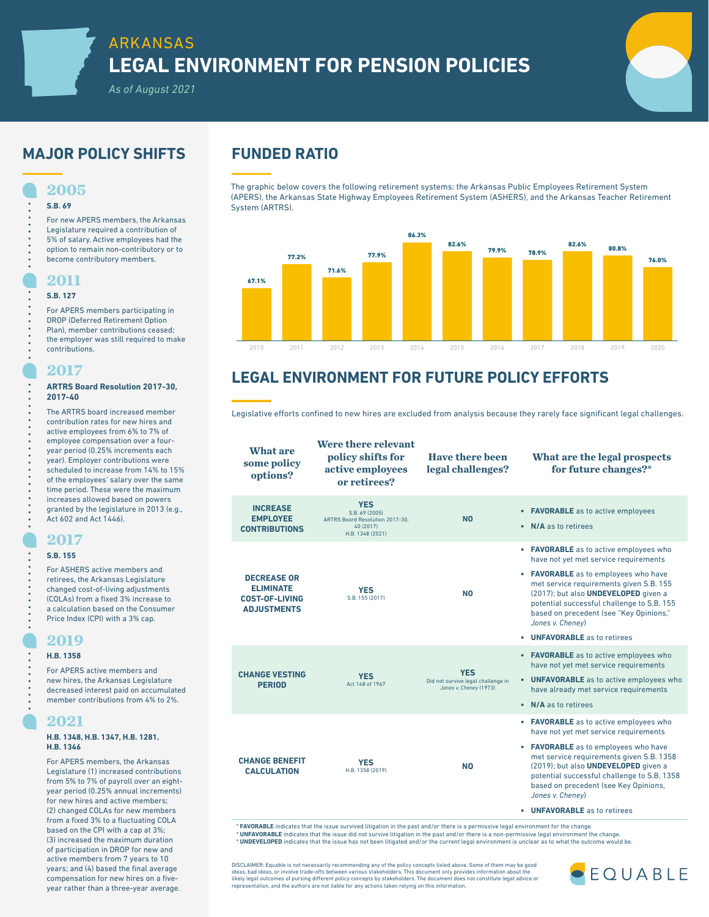# **MAJOR POLICY SHIFTS FUNDED RATIO**

**2005**

**S.B. 69**

For new APERS members, the Arkansas Legislature required a contribution of 5% of salary. Active employees had the option to remain non-contributory or to become contributory members.

## **2011**

### **S.B. 127**

For APERS members participating in DROP (Deferred Retirement Option Plan), member contributions ceased; the employer was still required to make contributions.

## **2017**

### **ARTRS Board Resolution 2017-30, 2017-40**

The ARTRS board increased member contribution rates for new hires and active employees from 6% to 7% of employee compensation over a fouryear period (0.25% increments each year). Employer contributions were scheduled to increase from 14% to 15% of the employees' salary over the same time period. These were the maximum increases allowed based on powers granted by the legislature in 2013 (e.g., Act 602 and Act 1446).

## **2017**

### **S.B. 155**

For ASHERS active members and retirees, the Arkansas Legislature changed cost-of-living adjustments (COLAs) from a fixed 3% increase to a calculation based on the Consumer Price Index (CPI) with a 3% cap.

# **2019**

## **H.B. 1358**

For APERS active members and new hires, the Arkansas Legislature decreased interest paid on accumulated member contributions from 4% to 2%.

# **2021**

### **H.B. 1348, H.B. 1347, H.B. 1281, H.B. 1346**

For APERS members, the Arkansas Legislature (1) increased contributions from 5% to 7% of payroll over an eightyear period (0.25% annual increments) for new hires and active members; (2) changed COLAs for new members from a fixed 3% to a fluctuating COLA based on the CPI with a cap at 3%; (3) increased the maximum duration of participation in DROP for new and active members from 7 years to 10 years; and (4) based the final average compensation for new hires on a fiveyear rather than a three-year average.

The graphic below covers the following retirement systems: the Arkansas Public Employees Retirement System (APERS), the Arkansas State Highway Employees Retirement System (ASHERS), and the Arkansas Teacher Retirement System (ARTRS).



# **LEGAL ENVIRONMENT FOR FUTURE POLICY EFFORTS**

Legislative efforts confined to new hires are excluded from analysis because they rarely face significant legal challenges.

**What are some policy options? Were there relevant policy shifts for active employees or retirees? Have there been legal challenges? What are the legal prospects for future changes?\* INCREASE EMPLOYEE CONTRIBUTIONS YES** S.B. 69 (2005) ARTRS Board Resolution 2017-30, 40 (2017) H.B. 1348 (2021) **NO • FAVORABLE** as to active employees **• N/A** as to retirees **DECREASE OR ELIMINATE COST-OF-LIVING ADJUSTMENTS YES YES NO**<br>S.B. 155 (2017) **NO • FAVORABLE** as to active employees who have not yet met service requirements **• FAVORABLE** as to employees who have met service requirements given S.B. 155 (2017); but also **UNDEVELOPED** given a potential successful challenge to S.B. 155 based on precedent (see "Key Opinions," *Jones v. Cheney*) **• UNFAVORABLE** as to retirees **CHANGE VESTING PERIOD YES** Act 148 of 1967 **YES** Did not survive legal challenge in *Jones v. Cheney* (1973) **• FAVORABLE** as to active employees who have not yet met service requirements **• UNFAVORABLE** as to active employees who have already met service requirements **• N/A** as to retirees **CHANGE BENEFIT CALCULATION YES TES NO**<br>H.B. 1358 (2019) **NO • FAVORABLE** as to active employees who have not yet met service requirements **• FAVORABLE** as to employees who have met service requirements given S.B. 1358 (2019); but also **UNDEVELOPED** given a potential successful challenge to S.B. 1358 based on precedent (see Key Opinions, *Jones v. Cheney*) **• UNFAVORABLE** as to retirees

**\* FAVORABLE** indicates that the issue survived litigation in the past and/or there is a permissive legal environment for the change.<br>**\* UNFAVORABLE** indicates that the issue did not survive litigation in the past and/or t \* **UNDEVELOPED** indicates that the issue has not been litigated and/or the current legal environment is unclear as to what the outcome would be.

DISCLAIMER: Equable is not necessarily recommending any of the policy concepts listed above. Some of them may be good<br>ideas, bad ideas, or involve trade-offs between various stakeholders. This document only provides inform likely legal outcomes of pursing different policy concepts by stakeholders. The document does not constitute legal advice or representation, and the authors are not liable for any actions taken relying on this information.